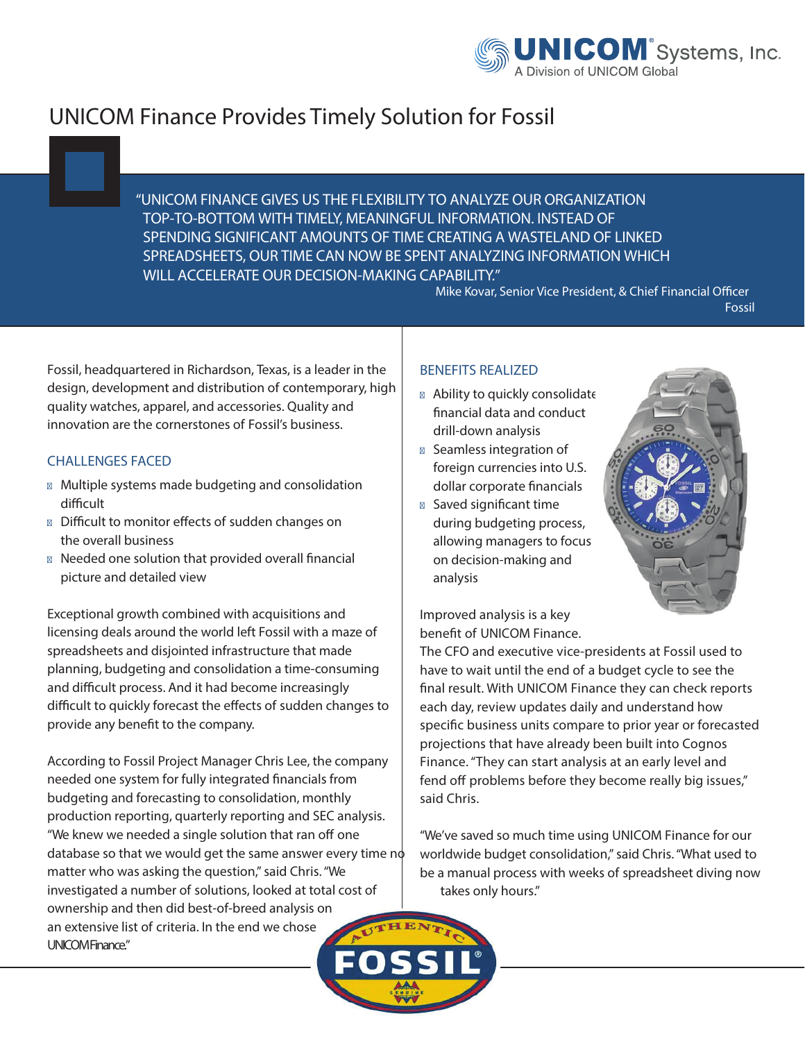

## **UNICOM Finance Provides Timely Solution for Fossil**

**"UNICOM FINANCE GIVES US THE FLEXIBILITY TO ANALYZE OUR ORGANIZATION TOP-TO-BOTTOM WITH TIMELY, MEANINGFUL INFORMATION. INSTEAD OF SPENDING SIGNIFICANT AMOUNTS OF TIME CREATING A WASTELAND OF LINKED SPREADSHEETS, OUR TIME CAN NOW BE SPENT ANALYZING INFORMATION WHICH WILL ACCELERATE OUR DECISION-MAKING CAPABILITY."**

**Mike Kovar, Senior Vice President, & Chief Financial Officer** 

**Fossil**

Fossil, headquartered in Richardson, Texas, is a leader in the design, development and distribution of contemporary, high quality watches, apparel, and accessories. Quality and innovation are the cornerstones of Fossil's business.

## **CHALLENGES FACED**

- Multiple systems made budgeting and consolidation difficult
- Difficult to monitor effects of sudden changes on the overall business
- Needed one solution that provided overall financial picture and detailed view

Exceptional growth combined with acquisitions and licensing deals around the world left Fossil with a maze of spreadsheets and disjointed infrastructure that made planning, budgeting and consolidation a time-consuming and difficult process. And it had become increasingly difficult to quickly forecast the effects of sudden changes to provide any benefit to the company.

According to Fossil Project Manager Chris Lee, the company needed one system for fully integrated financials from budgeting and forecasting to consolidation, monthly production reporting, quarterly reporting and SEC analysis. "We knew we needed a single solution that ran off one database so that we would get the same answer every time  $n\phi$ matter who was asking the question," said Chris. "We investigated a number of solutions, looked at total cost of ownership and then did best-of-breed analysis on an extensive list of criteria. In the end we chose UNICOM Finance"

## **BENEFITS REALIZED**

Ability to quickly consolidate nancial data and conduct drill-down analysis Seamless integration of foreign currencies into U.S. dollar corporate financials Saved significant time during budgeting process, allowing managers to focus on decision-making and analysis



Improved analysis is a key benefit of UNICOM Finance.

The CFO and executive vice-presidents at Fossil used to have to wait until the end of a budget cycle to see the final result. With UNICOM Finance they can check reports each day, review updates daily and understand how specific business units compare to prior year or forecasted projections that have already been built into Cognos Finance."They can start analysis at an early level and fend off problems before they become really big issues," said Chris.

"We've saved so much time using UNICOM Finance for our worldwide budget consolidation,"said Chris."What used to be a manual process with weeks of spreadsheet diving now takes only hours."